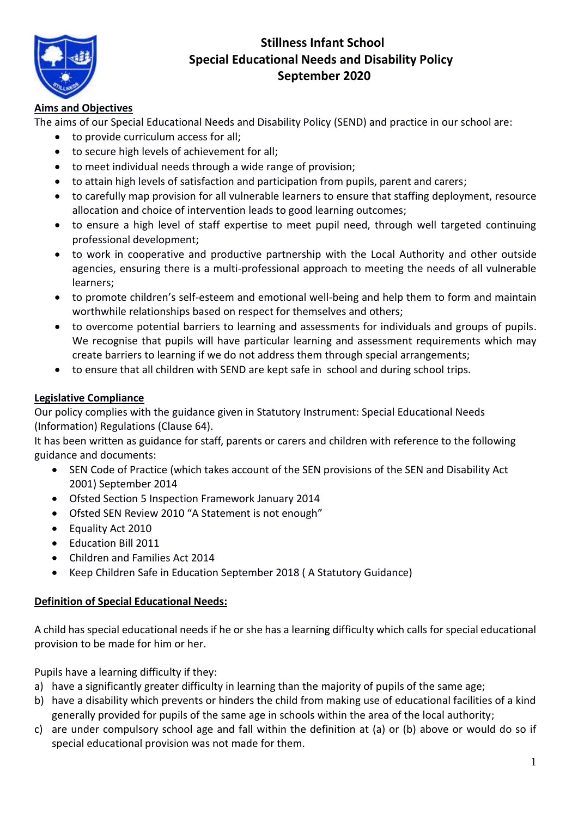

# **Stillness Infant School Special Educational Needs and Disability Policy September 2020**

# **Aims and Objectives**

The aims of our Special Educational Needs and Disability Policy (SEND) and practice in our school are:

- to provide curriculum access for all;
- to secure high levels of achievement for all;
- to meet individual needs through a wide range of provision;
- to attain high levels of satisfaction and participation from pupils, parent and carers;
- to carefully map provision for all vulnerable learners to ensure that staffing deployment, resource allocation and choice of intervention leads to good learning outcomes;
- to ensure a high level of staff expertise to meet pupil need, through well targeted continuing professional development;
- to work in cooperative and productive partnership with the Local Authority and other outside agencies, ensuring there is a multi-professional approach to meeting the needs of all vulnerable learners;
- to promote children's self-esteem and emotional well-being and help them to form and maintain worthwhile relationships based on respect for themselves and others;
- to overcome potential barriers to learning and assessments for individuals and groups of pupils. We recognise that pupils will have particular learning and assessment requirements which may create barriers to learning if we do not address them through special arrangements;
- to ensure that all children with SEND are kept safe in school and during school trips.

# **Legislative Compliance**

Our policy complies with the guidance given in Statutory Instrument: Special Educational Needs (Information) Regulations (Clause 64).

It has been written as guidance for staff, parents or carers and children with reference to the following guidance and documents:

- SEN Code of Practice (which takes account of the SEN provisions of the SEN and Disability Act 2001) September 2014
- Ofsted Section 5 Inspection Framework January 2014
- Ofsted SEN Review 2010 "A Statement is not enough"
- Equality Act 2010
- Education Bill 2011
- Children and Families Act 2014
- Keep Children Safe in Education September 2018 ( A Statutory Guidance)

# **Definition of Special Educational Needs:**

A child has special educational needs if he or she has a learning difficulty which calls for special educational provision to be made for him or her.

Pupils have a learning difficulty if they:

- a) have a significantly greater difficulty in learning than the majority of pupils of the same age;
- b) have a disability which prevents or hinders the child from making use of educational facilities of a kind generally provided for pupils of the same age in schools within the area of the local authority;
- c) are under compulsory school age and fall within the definition at (a) or (b) above or would do so if special educational provision was not made for them.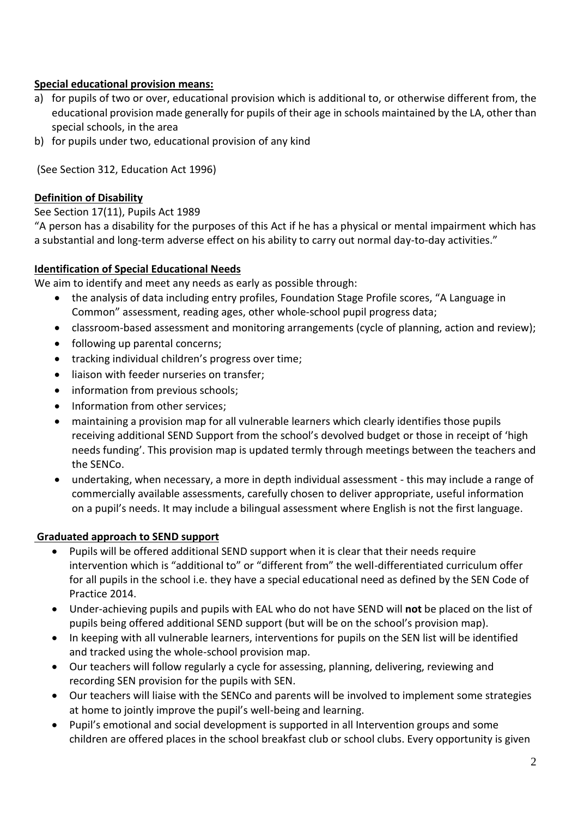# **Special educational provision means:**

- a) for pupils of two or over, educational provision which is additional to, or otherwise different from, the educational provision made generally for pupils of their age in schools maintained by the LA, other than special schools, in the area
- b) for pupils under two, educational provision of any kind

(See Section 312, Education Act 1996)

### **Definition of Disability**

#### See Section 17(11), Pupils Act 1989

"A person has a disability for the purposes of this Act if he has a physical or mental impairment which has a substantial and long-term adverse effect on his ability to carry out normal day-to-day activities."

### **Identification of Special Educational Needs**

We aim to identify and meet any needs as early as possible through:

- the analysis of data including entry profiles, Foundation Stage Profile scores, "A Language in Common" assessment, reading ages, other whole-school pupil progress data;
- classroom-based assessment and monitoring arrangements (cycle of planning, action and review);
- following up parental concerns;
- tracking individual children's progress over time;
- liaison with feeder nurseries on transfer;
- information from previous schools;
- Information from other services;
- maintaining a provision map for all vulnerable learners which clearly identifies those pupils receiving additional SEND Support from the school's devolved budget or those in receipt of 'high needs funding'. This provision map is updated termly through meetings between the teachers and the SENCo.
- undertaking, when necessary, a more in depth individual assessment this may include a range of commercially available assessments, carefully chosen to deliver appropriate, useful information on a pupil's needs. It may include a bilingual assessment where English is not the first language.

#### **Graduated approach to SEND support**

- Pupils will be offered additional SEND support when it is clear that their needs require intervention which is "additional to" or "different from" the well-differentiated curriculum offer for all pupils in the school i.e. they have a special educational need as defined by the SEN Code of Practice 2014.
- Under-achieving pupils and pupils with EAL who do not have SEND will **not** be placed on the list of pupils being offered additional SEND support (but will be on the school's provision map).
- In keeping with all vulnerable learners, interventions for pupils on the SEN list will be identified and tracked using the whole-school provision map.
- Our teachers will follow regularly a cycle for assessing, planning, delivering, reviewing and recording SEN provision for the pupils with SEN.
- Our teachers will liaise with the SENCo and parents will be involved to implement some strategies at home to jointly improve the pupil's well-being and learning.
- Pupil's emotional and social development is supported in all Intervention groups and some children are offered places in the school breakfast club or school clubs. Every opportunity is given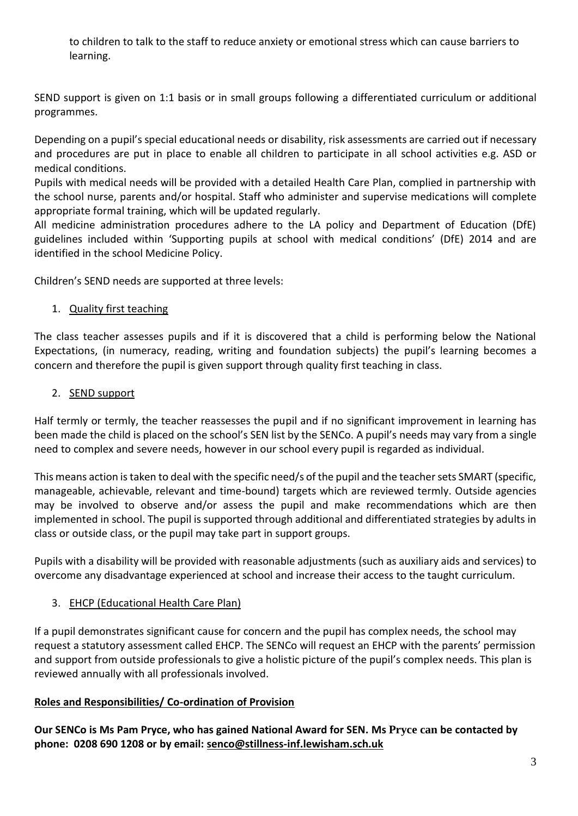to children to talk to the staff to reduce anxiety or emotional stress which can cause barriers to learning.

SEND support is given on 1:1 basis or in small groups following a differentiated curriculum or additional programmes.

Depending on a pupil's special educational needs or disability, risk assessments are carried out if necessary and procedures are put in place to enable all children to participate in all school activities e.g. ASD or medical conditions.

Pupils with medical needs will be provided with a detailed Health Care Plan, complied in partnership with the school nurse, parents and/or hospital. Staff who administer and supervise medications will complete appropriate formal training, which will be updated regularly.

All medicine administration procedures adhere to the LA policy and Department of Education (DfE) guidelines included within 'Supporting pupils at school with medical conditions' (DfE) 2014 and are identified in the school Medicine Policy.

Children's SEND needs are supported at three levels:

### 1. Quality first teaching

The class teacher assesses pupils and if it is discovered that a child is performing below the National Expectations, (in numeracy, reading, writing and foundation subjects) the pupil's learning becomes a concern and therefore the pupil is given support through quality first teaching in class.

### 2. SEND support

Half termly or termly, the teacher reassesses the pupil and if no significant improvement in learning has been made the child is placed on the school's SEN list by the SENCo. A pupil's needs may vary from a single need to complex and severe needs, however in our school every pupil is regarded as individual.

This means action is taken to deal with the specific need/s of the pupil and the teacher sets SMART (specific, manageable, achievable, relevant and time-bound) targets which are reviewed termly. Outside agencies may be involved to observe and/or assess the pupil and make recommendations which are then implemented in school. The pupil is supported through additional and differentiated strategies by adults in class or outside class, or the pupil may take part in support groups.

Pupils with a disability will be provided with reasonable adjustments (such as auxiliary aids and services) to overcome any disadvantage experienced at school and increase their access to the taught curriculum.

# 3. EHCP (Educational Health Care Plan)

If a pupil demonstrates significant cause for concern and the pupil has complex needs, the school may request a statutory assessment called EHCP. The SENCo will request an EHCP with the parents' permission and support from outside professionals to give a holistic picture of the pupil's complex needs. This plan is reviewed annually with all professionals involved.

# **Roles and Responsibilities/ Co-ordination of Provision**

**Our SENCo is Ms Pam Pryce, who has gained National Award for SEN. Ms Pryce can be contacted by phone: 0208 690 1208 or by email: [senco@stillness-inf.lewisham.sch.uk](mailto:senco@stillness-inf.lewisham.sch.uk)**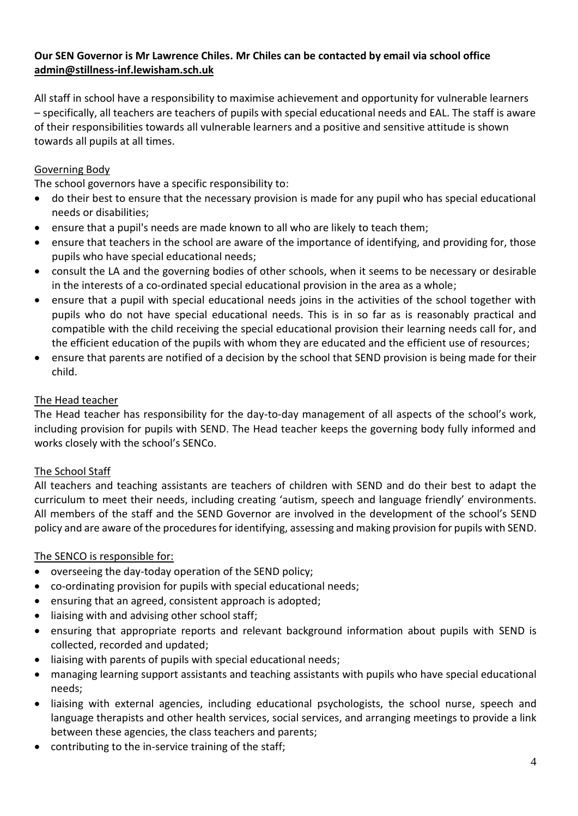# **Our SEN Governor is Mr Lawrence Chiles. Mr Chiles can be contacted by email via school office [admin@stillness-inf.lewisham.sch.uk](mailto:admin@stillness-inf.lewisham.sch.uk)**

All staff in school have a responsibility to maximise achievement and opportunity for vulnerable learners – specifically, all teachers are teachers of pupils with special educational needs and EAL. The staff is aware of their responsibilities towards all vulnerable learners and a positive and sensitive attitude is shown towards all pupils at all times.

## Governing Body

The school governors have a specific responsibility to:

- do their best to ensure that the necessary provision is made for any pupil who has special educational needs or disabilities;
- ensure that a pupil's needs are made known to all who are likely to teach them;
- ensure that teachers in the school are aware of the importance of identifying, and providing for, those pupils who have special educational needs;
- consult the LA and the governing bodies of other schools, when it seems to be necessary or desirable in the interests of a co-ordinated special educational provision in the area as a whole;
- ensure that a pupil with special educational needs joins in the activities of the school together with pupils who do not have special educational needs. This is in so far as is reasonably practical and compatible with the child receiving the special educational provision their learning needs call for, and the efficient education of the pupils with whom they are educated and the efficient use of resources;
- ensure that parents are notified of a decision by the school that SEND provision is being made for their child.

#### The Head teacher

The Head teacher has responsibility for the day-to-day management of all aspects of the school's work, including provision for pupils with SEND. The Head teacher keeps the governing body fully informed and works closely with the school's SENCo.

#### The School Staff

All teachers and teaching assistants are teachers of children with SEND and do their best to adapt the curriculum to meet their needs, including creating 'autism, speech and language friendly' environments. All members of the staff and the SEND Governor are involved in the development of the school's SEND policy and are aware of the procedures for identifying, assessing and making provision for pupils with SEND.

#### The SENCO is responsible for:

- overseeing the day-today operation of the SEND policy;
- co-ordinating provision for pupils with special educational needs;
- ensuring that an agreed, consistent approach is adopted;
- liaising with and advising other school staff;
- ensuring that appropriate reports and relevant background information about pupils with SEND is collected, recorded and updated;
- liaising with parents of pupils with special educational needs;
- managing learning support assistants and teaching assistants with pupils who have special educational needs;
- liaising with external agencies, including educational psychologists, the school nurse, speech and language therapists and other health services, social services, and arranging meetings to provide a link between these agencies, the class teachers and parents;
- contributing to the in-service training of the staff;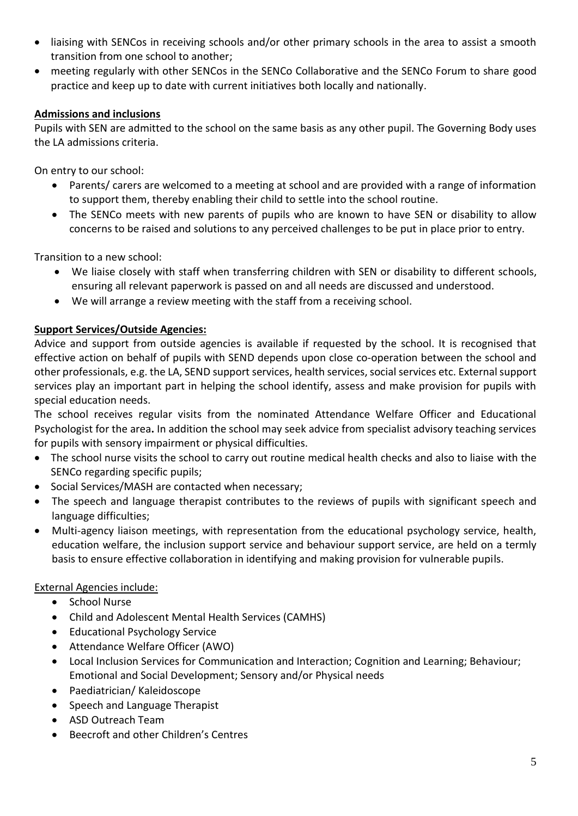- liaising with SENCos in receiving schools and/or other primary schools in the area to assist a smooth transition from one school to another;
- meeting regularly with other SENCos in the SENCo Collaborative and the SENCo Forum to share good practice and keep up to date with current initiatives both locally and nationally.

# **Admissions and inclusions**

Pupils with SEN are admitted to the school on the same basis as any other pupil. The Governing Body uses the LA admissions criteria.

On entry to our school:

- Parents/ carers are welcomed to a meeting at school and are provided with a range of information to support them, thereby enabling their child to settle into the school routine.
- The SENCo meets with new parents of pupils who are known to have SEN or disability to allow concerns to be raised and solutions to any perceived challenges to be put in place prior to entry.

Transition to a new school:

- We liaise closely with staff when transferring children with SEN or disability to different schools, ensuring all relevant paperwork is passed on and all needs are discussed and understood.
- We will arrange a review meeting with the staff from a receiving school.

# **Support Services/Outside Agencies:**

Advice and support from outside agencies is available if requested by the school. It is recognised that effective action on behalf of pupils with SEND depends upon close co-operation between the school and other professionals, e.g. the LA, SEND support services, health services, social services etc. External support services play an important part in helping the school identify, assess and make provision for pupils with special education needs.

The school receives regular visits from the nominated Attendance Welfare Officer and Educational Psychologist for the area**.** In addition the school may seek advice from specialist advisory teaching services for pupils with sensory impairment or physical difficulties.

- The school nurse visits the school to carry out routine medical health checks and also to liaise with the SENCo regarding specific pupils;
- Social Services/MASH are contacted when necessary;
- The speech and language therapist contributes to the reviews of pupils with significant speech and language difficulties;
- Multi-agency liaison meetings, with representation from the educational psychology service, health, education welfare, the inclusion support service and behaviour support service, are held on a termly basis to ensure effective collaboration in identifying and making provision for vulnerable pupils.

# External Agencies include:

- School Nurse
- Child and Adolescent Mental Health Services (CAMHS)
- Educational Psychology Service
- Attendance Welfare Officer (AWO)
- Local Inclusion Services for Communication and Interaction; Cognition and Learning; Behaviour; Emotional and Social Development; Sensory and/or Physical needs
- Paediatrician/ Kaleidoscope
- Speech and Language Therapist
- ASD Outreach Team
- Beecroft and other Children's Centres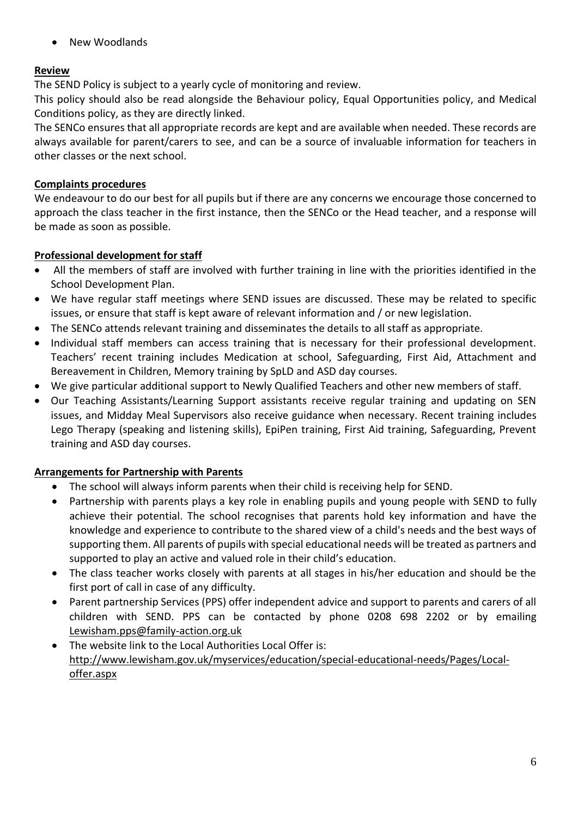• New Woodlands

## **Review**

The SEND Policy is subject to a yearly cycle of monitoring and review.

This policy should also be read alongside the Behaviour policy, Equal Opportunities policy, and Medical Conditions policy, as they are directly linked.

The SENCo ensures that all appropriate records are kept and are available when needed. These records are always available for parent/carers to see, and can be a source of invaluable information for teachers in other classes or the next school.

### **Complaints procedures**

We endeavour to do our best for all pupils but if there are any concerns we encourage those concerned to approach the class teacher in the first instance, then the SENCo or the Head teacher, and a response will be made as soon as possible.

### **Professional development for staff**

- All the members of staff are involved with further training in line with the priorities identified in the School Development Plan.
- We have regular staff meetings where SEND issues are discussed. These may be related to specific issues, or ensure that staff is kept aware of relevant information and / or new legislation.
- The SENCo attends relevant training and disseminates the details to all staff as appropriate.
- Individual staff members can access training that is necessary for their professional development. Teachers' recent training includes Medication at school, Safeguarding, First Aid, Attachment and Bereavement in Children, Memory training by SpLD and ASD day courses.
- We give particular additional support to Newly Qualified Teachers and other new members of staff.
- Our Teaching Assistants/Learning Support assistants receive regular training and updating on SEN issues, and Midday Meal Supervisors also receive guidance when necessary. Recent training includes Lego Therapy (speaking and listening skills), EpiPen training, First Aid training, Safeguarding, Prevent training and ASD day courses.

# **Arrangements for Partnership with Parents**

- The school will always inform parents when their child is receiving help for SEND.
- Partnership with parents plays a key role in enabling pupils and young people with SEND to fully achieve their potential. The school recognises that parents hold key information and have the knowledge and experience to contribute to the shared view of a child's needs and the best ways of supporting them. All parents of pupils with special educational needs will be treated as partners and supported to play an active and valued role in their child's education.
- The class teacher works closely with parents at all stages in his/her education and should be the first port of call in case of any difficulty.
- Parent partnership Services (PPS) offer independent advice and support to parents and carers of all children with SEND. PPS can be contacted by phone 0208 698 2202 or by emailing [Lewisham.pps@family-action.org.uk](mailto:Lewisham.pps@family-action.org.uk)
- The website link to the Local Authorities Local Offer is: [http://www.lewisham.gov.uk/myservices/education/special-educational-needs/Pages/Local](http://www.lewisham.gov.uk/myservices/education/special-educational-needs/Pages/Local-offer.aspx)[offer.aspx](http://www.lewisham.gov.uk/myservices/education/special-educational-needs/Pages/Local-offer.aspx)